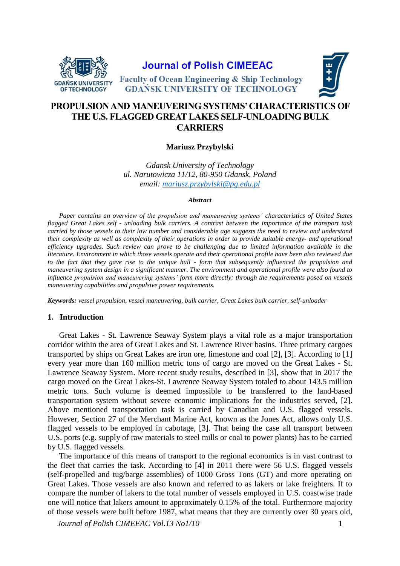

**Journal of Polish CIMEEAC** 



**Faculty of Ocean Engineering & Ship Technology GDANSK UNIVERSITY OF TECHNOLOGY** 

# **PROPULSION AND MANEUVERING SYSTEMS' CHARACTERISTICS OF THE U.S. FLAGGED GREAT LAKES SELF-UNLOADING BULK CARRIERS**

# **Mariusz Przybylski**

*Gdansk University of Technology ul. Narutowicza 11/12, 80-950 Gdansk, Poland email: mariusz.przybylski@pg.edu.pl*

#### *Abstract*

*Paper contains an overview of the propulsion and maneuvering systems' characteristics of United States flagged Great Lakes self - unloading bulk carriers. A contrast between the importance of the transport task carried by those vessels to their low number and considerable age suggests the need to review and understand their complexity as well as complexity of their operations in order to provide suitable energy- and operational efficiency upgrades. Such review can prove to be challenging due to limited information available in the literature. Environment in which those vessels operate and their operational profile have been also reviewed due to the fact that they gave rise to the unique hull - form that subsequently influenced the propulsion and maneuvering system design in a significant manner. The environment and operational profile were also found to influence propulsion and maneuvering systems' form more directly: through the requirements posed on vessels maneuvering capabilities and propulsive power requirements.*

*Keywords: vessel propulsion, vessel maneuvering, bulk carrier, Great Lakes bulk carrier, self-unloader*

## **1. Introduction**

Great Lakes - St. Lawrence Seaway System plays a vital role as a major transportation corridor within the area of Great Lakes and St. Lawrence River basins. Three primary cargoes transported by ships on Great Lakes are iron ore, limestone and coal [2], [3]. According to [1] every year more than 160 million metric tons of cargo are moved on the Great Lakes - St. Lawrence Seaway System. More recent study results, described in [3], show that in 2017 the cargo moved on the Great Lakes-St. Lawrence Seaway System totaled to about 143.5 million metric tons. Such volume is deemed impossible to be transferred to the land-based transportation system without severe economic implications for the industries served, [2]. Above mentioned transportation task is carried by Canadian and U.S. flagged vessels. However, Section 27 of the Merchant Marine Act, known as the Jones Act, allows only U.S. flagged vessels to be employed in cabotage, [3]. That being the case all transport between U.S. ports (e.g. supply of raw materials to steel mills or coal to power plants) has to be carried by U.S. flagged vessels.

The importance of this means of transport to the regional economics is in vast contrast to the fleet that carries the task. According to [4] in 2011 there were 56 U.S. flagged vessels (self-propelled and tug/barge assemblies) of 1000 Gross Tons (GT) and more operating on Great Lakes. Those vessels are also known and referred to as lakers or lake freighters. If to compare the number of lakers to the total number of vessels employed in U.S. coastwise trade one will notice that lakers amount to approximately 0.15% of the total. Furthermore majority of those vessels were built before 1987, what means that they are currently over 30 years old,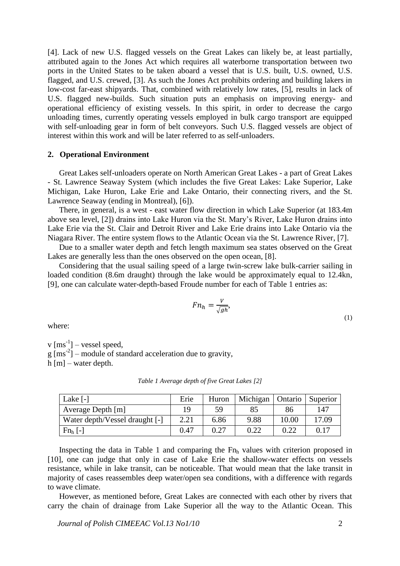[4]. Lack of new U.S. flagged vessels on the Great Lakes can likely be, at least partially, attributed again to the Jones Act which requires all waterborne transportation between two ports in the United States to be taken aboard a vessel that is U.S. built, U.S. owned, U.S. flagged, and U.S. crewed, [3]. As such the Jones Act prohibits ordering and building lakers in low-cost far-east shipyards. That, combined with relatively low rates, [5], results in lack of U.S. flagged new-builds. Such situation puts an emphasis on improving energy- and operational efficiency of existing vessels. In this spirit, in order to decrease the cargo unloading times, currently operating vessels employed in bulk cargo transport are equipped with self-unloading gear in form of belt conveyors. Such U.S. flagged vessels are object of interest within this work and will be later referred to as self-unloaders.

#### **2. Operational Environment**

Great Lakes self-unloaders operate on North American Great Lakes - a part of Great Lakes - St. Lawrence Seaway System (which includes the five Great Lakes: Lake Superior, Lake Michigan, Lake Huron, Lake Erie and Lake Ontario, their connecting rivers, and the St. Lawrence Seaway (ending in Montreal), [6]).

There, in general, is a west - east water flow direction in which Lake Superior (at 183.4m above sea level, [2]) drains into Lake Huron via the St. Mary's River, Lake Huron drains into Lake Erie via the St. Clair and Detroit River and Lake Erie drains into Lake Ontario via the Niagara River. The entire system flows to the Atlantic Ocean via the St. Lawrence River, [7].

Due to a smaller water depth and fetch length maximum sea states observed on the Great Lakes are generally less than the ones observed on the open ocean, [8].

Considering that the usual sailing speed of a large twin-screw lake bulk-carrier sailing in loaded condition (8.6m draught) through the lake would be approximately equal to 12.4kn, [9], one can calculate water-depth-based Froude number for each of [Table 1](#page-1-0) entries as:

$$
F n_h = \frac{V}{\sqrt{gh}},\tag{1}
$$

where:

 $v [ms^{-1}]$  – vessel speed,

 $g \text{ [ms}^2\text{]}$  – module of standard acceleration due to gravity,

<span id="page-1-0"></span>h [m] – water depth.

*Table 1 Average depth of five Great Lakes [2]*

| Lake [-]                       | Erie | Huron | Michigan | Ontario | <b>Superior</b> |
|--------------------------------|------|-------|----------|---------|-----------------|
| Average Depth [m]              | 19   | 59    | 85       | 86      | 147             |
| Water depth/Vessel draught [-] | 2.21 | 6.86  | 9.88     | 10.00   | 17.09           |
| $Fn_h$ [-]                     | 0.47 | 0.27  | 0.22     |         | 0.17            |

Inspecting the data in [Table 1](#page-1-0) and comparing the  $Fn<sub>h</sub>$  values with criterion proposed in [10], one can judge that only in case of Lake Erie the shallow-water effects on vessels resistance, while in lake transit, can be noticeable. That would mean that the lake transit in majority of cases reassembles deep water/open sea conditions, with a difference with regards to wave climate.

However, as mentioned before, Great Lakes are connected with each other by rivers that carry the chain of drainage from Lake Superior all the way to the Atlantic Ocean. This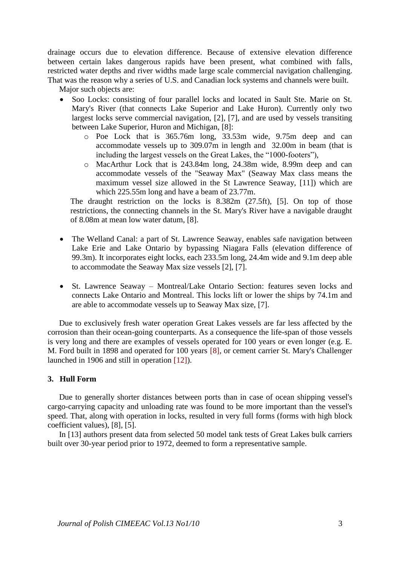drainage occurs due to elevation difference. Because of extensive elevation difference between certain lakes dangerous rapids have been present, what combined with falls, restricted water depths and river widths made large scale commercial navigation challenging. That was the reason why a series of U.S. and Canadian lock systems and channels were built.

Major such objects are:

- Soo Locks: consisting of four parallel locks and located in Sault Ste. Marie on St. Mary's River (that connects Lake Superior and Lake Huron). Currently only two largest locks serve commercial navigation, [2], [7], and are used by vessels transiting between Lake Superior, Huron and Michigan, [8]:
	- o Poe Lock that is 365.76m long, 33.53m wide, 9.75m deep and can accommodate vessels up to 309.07m in length and 32.00m in beam (that is including the largest vessels on the Great Lakes, the "1000-footers"),
	- o MacArthur Lock that is 243.84m long, 24.38m wide, 8.99m deep and can accommodate vessels of the "Seaway Max" (Seaway Max class means the maximum vessel size allowed in the St Lawrence Seaway, [11]) which are which 225.55m long and have a beam of 23.77m.

The draught restriction on the locks is 8.382m (27.5ft), [5]. On top of those restrictions, the connecting channels in the St. Mary's River have a navigable draught of 8.08m at mean low water datum, [8].

- The Welland Canal: a part of St. Lawrence Seaway, enables safe navigation between Lake Erie and Lake Ontario by bypassing Niagara Falls (elevation difference of 99.3m). It incorporates eight locks, each 233.5m long, 24.4m wide and 9.1m deep able to accommodate the Seaway Max size vessels [2], [7].
- St. Lawrence Seaway Montreal/Lake Ontario Section: features seven locks and connects Lake Ontario and Montreal. This locks lift or lower the ships by 74.1m and are able to accommodate vessels up to Seaway Max size, [7].

Due to exclusively fresh water operation Great Lakes vessels are far less affected by the corrosion than their ocean-going counterparts. As a consequence the life-span of those vessels is very long and there are examples of vessels operated for 100 years or even longer (e.g. E. M. Ford built in 1898 and operated for 100 years [8], or cement carrier St. Mary's Challenger launched in 1906 and still in operation [12]).

# <span id="page-2-0"></span>**3. Hull Form**

Due to generally shorter distances between ports than in case of ocean shipping vessel's cargo-carrying capacity and unloading rate was found to be more important than the vessel's speed. That, along with operation in locks, resulted in very full forms (forms with high block coefficient values), [8], [5].

In [13] authors present data from selected 50 model tank tests of Great Lakes bulk carriers built over 30-year period prior to 1972, deemed to form a representative sample.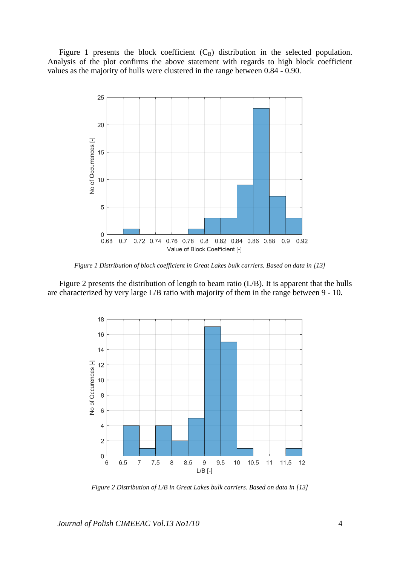[Figure 1](#page-3-0) presents the block coefficient  $(C_B)$  distribution in the selected population. Analysis of the plot confirms the above statement with regards to high block coefficient values as the majority of hulls were clustered in the range between 0.84 - 0.90.



*Figure 1 Distribution of block coefficient in Great Lakes bulk carriers. Based on data in [13]*

<span id="page-3-0"></span>[Figure 2](#page-3-1) presents the distribution of length to beam ratio (L/B). It is apparent that the hulls are characterized by very large L/B ratio with majority of them in the range between 9 - 10.



<span id="page-3-1"></span>*Figure 2 Distribution of L/B in Great Lakes bulk carriers. Based on data in [13]*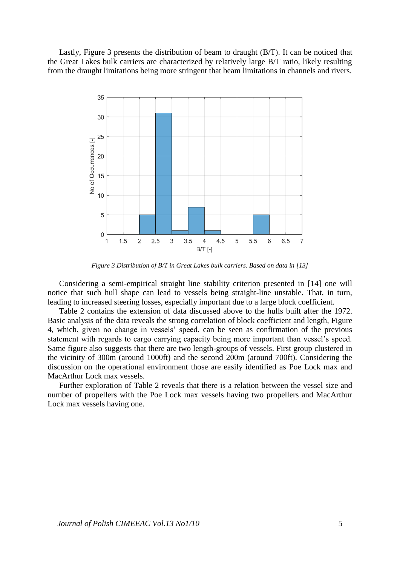Lastly, [Figure 3](#page-4-0) presents the distribution of beam to draught (B/T). It can be noticed that the Great Lakes bulk carriers are characterized by relatively large B/T ratio, likely resulting from the draught limitations being more stringent that beam limitations in channels and rivers.



*Figure 3 Distribution of B/T in Great Lakes bulk carriers. Based on data in [13]*

<span id="page-4-0"></span>Considering a semi-empirical straight line stability criterion presented in [14] one will notice that such hull shape can lead to vessels being straight-line unstable. That, in turn, leading to increased steering losses, especially important due to a large block coefficient.

[Table 2](#page-5-0) contains the extension of data discussed above to the hulls built after the 1972. Basic analysis of the data reveals the strong correlation of block coefficient and length, [Figure](#page-5-1)  [4,](#page-5-1) which, given no change in vessels' speed, can be seen as confirmation of the previous statement with regards to cargo carrying capacity being more important than vessel's speed. Same figure also suggests that there are two length-groups of vessels. First group clustered in the vicinity of 300m (around 1000ft) and the second 200m (around 700ft). Considering the discussion on the operational environment those are easily identified as Poe Lock max and MacArthur Lock max vessels.

Further exploration of [Table 2](#page-5-0) reveals that there is a relation between the vessel size and number of propellers with the Poe Lock max vessels having two propellers and MacArthur Lock max vessels having one.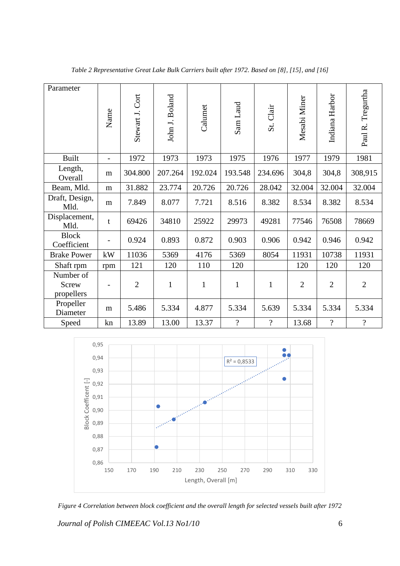<span id="page-5-0"></span>

| Parameter                               | Name                     | Cort<br>Stewart J. | John J. Boland | Calumet      | Sam Laud       | St. Clair      | Mesabi Miner   | Indiana Harbor           | Paul R. Tregurtha |
|-----------------------------------------|--------------------------|--------------------|----------------|--------------|----------------|----------------|----------------|--------------------------|-------------------|
| <b>Built</b>                            | $\overline{\phantom{a}}$ | 1972               | 1973           | 1973         | 1975           | 1976           | 1977           | 1979                     | 1981              |
| Length,<br>Overall                      | m                        | 304.800            | 207.264        | 192.024      | 193.548        | 234.696        | 304,8          | 304,8                    | 308,915           |
| Beam, Mld.                              | m                        | 31.882             | 23.774         | 20.726       | 20.726         | 28.042         | 32.004         | 32.004                   | 32.004            |
| Draft, Design,<br>Mld.                  | m                        | 7.849              | 8.077          | 7.721        | 8.516          | 8.382          | 8.534          | 8.382                    | 8.534             |
| Displacement,<br>Mld.                   | $\mathbf t$              | 69426              | 34810          | 25922        | 29973          | 49281          | 77546          | 76508                    | 78669             |
| <b>Block</b><br>Coefficient             |                          | 0.924              | 0.893          | 0.872        | 0.903          | 0.906          | 0.942          | 0.946                    | 0.942             |
| <b>Brake Power</b>                      | kW                       | 11036              | 5369           | 4176         | 5369           | 8054           | 11931          | 10738                    | 11931             |
| Shaft rpm                               | rpm                      | 121                | 120            | 110          | 120            |                | 120            | 120                      | 120               |
| Number of<br><b>Screw</b><br>propellers |                          | $\overline{2}$     | $\mathbf{1}$   | $\mathbf{1}$ | $\mathbf{1}$   | $\mathbf{1}$   | $\overline{2}$ | $\overline{2}$           | $\overline{2}$    |
| Propeller<br>Diameter                   | m                        | 5.486              | 5.334          | 4.877        | 5.334          | 5.639          | 5.334          | 5.334                    | 5.334             |
| Speed                                   | kn                       | 13.89              | 13.00          | 13.37        | $\overline{?}$ | $\overline{?}$ | 13.68          | $\overline{\mathcal{L}}$ | $\overline{?}$    |

*Table 2 Representative Great Lake Bulk Carriers built after 1972. Based on [8], [15], and [16]*



<span id="page-5-1"></span>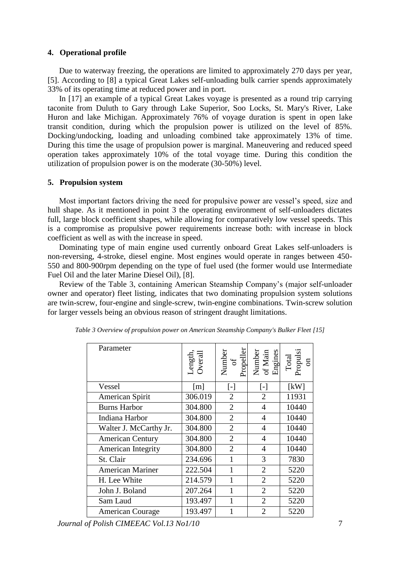## **4. Operational profile**

Due to waterway freezing, the operations are limited to approximately 270 days per year, [5]. According to [8] a typical Great Lakes self-unloading bulk carrier spends approximately 33% of its operating time at reduced power and in port.

In [17] an example of a typical Great Lakes voyage is presented as a round trip carrying taconite from Duluth to Gary through Lake Superior, Soo Locks, St. Mary's River, Lake Huron and lake Michigan. Approximately 76% of voyage duration is spent in open lake transit condition, during which the propulsion power is utilized on the level of 85%. Docking/undocking, loading and unloading combined take approximately 13% of time. During this time the usage of propulsion power is marginal. Maneuvering and reduced speed operation takes approximately 10% of the total voyage time. During this condition the utilization of propulsion power is on the moderate (30-50%) level.

#### **5. Propulsion system**

Most important factors driving the need for propulsive power are vessel's speed, size and hull shape. As it mentioned in point [3](#page-2-0) the operating environment of self-unloaders dictates full, large block coefficient shapes, while allowing for comparatively low vessel speeds. This is a compromise as propulsive power requirements increase both: with increase in block coefficient as well as with the increase in speed.

Dominating type of main engine used currently onboard Great Lakes self-unloaders is non-reversing, 4-stroke, diesel engine. Most engines would operate in ranges between 450- 550 and 800-900rpm depending on the type of fuel used (the former would use Intermediate Fuel Oil and the later Marine Diesel Oil), [8].

Review of the [Table 3,](#page-6-0) containing American Steamship Company's (major self-unloader owner and operator) fleet listing, indicates that two dominating propulsion system solutions are twin-screw, four-engine and single-screw, twin-engine combinations. Twin-screw solution for larger vessels being an obvious reason of stringent draught limitations.

| Parameter               | Length,<br>Overall | Number<br>of<br>Propeller | Number<br>of Main<br>Engines                                                                                                                                                                                                                      | Total<br>Propulsi<br>on |
|-------------------------|--------------------|---------------------------|---------------------------------------------------------------------------------------------------------------------------------------------------------------------------------------------------------------------------------------------------|-------------------------|
| Vessel                  | $\lceil m \rceil$  | $[\cdot]$                 | $[\cdot] % \centering \includegraphics[width=0.9\columnwidth]{figures/fig_10.pdf} \caption{The figure shows the number of times of the number of times. The leftmost (left) and rightmost (right) are the number of times.} \label{fig:fig:time}$ | [kW]                    |
| American Spirit         | 306.019            | $\overline{2}$            | $\overline{2}$                                                                                                                                                                                                                                    |                         |
| <b>Burns Harbor</b>     | 304.800            | $\overline{2}$            | $\overline{4}$                                                                                                                                                                                                                                    | 10440                   |
| Indiana Harbor          | 304.800            | $\overline{2}$            | $\overline{4}$                                                                                                                                                                                                                                    | 10440                   |
| Walter J. McCarthy Jr.  | 304.800            | $\overline{2}$            | $\overline{4}$                                                                                                                                                                                                                                    | 10440                   |
| <b>American Century</b> | 304.800            | $\overline{2}$            | $\overline{4}$                                                                                                                                                                                                                                    | 10440                   |
| American Integrity      | 304.800            | $\overline{2}$            | $\overline{4}$                                                                                                                                                                                                                                    | 10440                   |
| St. Clair               | 234.696            | 1                         | 3                                                                                                                                                                                                                                                 | 7830                    |
| <b>American Mariner</b> | 222.504            | 1                         | $\overline{2}$                                                                                                                                                                                                                                    | 5220                    |
| H. Lee White            | 214.579            | 1                         | $\overline{2}$                                                                                                                                                                                                                                    | 5220                    |
| John J. Boland          | 207.264            | 1                         | $\overline{2}$                                                                                                                                                                                                                                    | 5220                    |
| Sam Laud                | 193.497            | 1                         | $\overline{2}$                                                                                                                                                                                                                                    | 5220                    |
| <b>American Courage</b> | 193.497            |                           | $\overline{2}$                                                                                                                                                                                                                                    | 5220                    |

<span id="page-6-0"></span>*Table 3 Overview of propulsion power on American Steamship Company's Bulker Fleet [15]*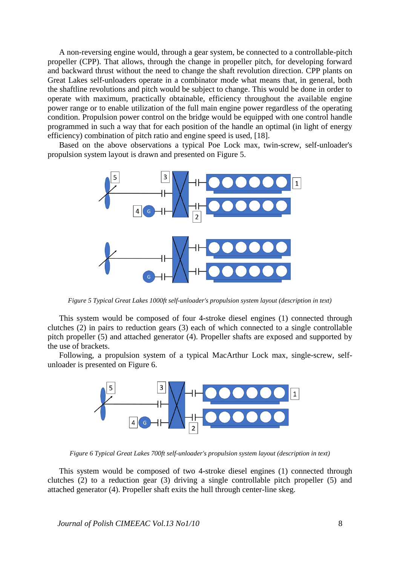A non-reversing engine would, through a gear system, be connected to a controllable-pitch propeller (CPP). That allows, through the change in propeller pitch, for developing forward and backward thrust without the need to change the shaft revolution direction. CPP plants on Great Lakes self-unloaders operate in a combinator mode what means that, in general, both the shaftline revolutions and pitch would be subject to change. This would be done in order to operate with maximum, practically obtainable, efficiency throughout the available engine power range or to enable utilization of the full main engine power regardless of the operating condition. Propulsion power control on the bridge would be equipped with one control handle programmed in such a way that for each position of the handle an optimal (in light of energy efficiency) combination of pitch ratio and engine speed is used, [18].

Based on the above observations a typical Poe Lock max, twin-screw, self-unloader's propulsion system layout is drawn and presented on [Figure 5.](#page-7-0)



*Figure 5 Typical Great Lakes 1000ft self-unloader's propulsion system layout (description in text)*

<span id="page-7-0"></span>This system would be composed of four 4-stroke diesel engines (1) connected through clutches (2) in pairs to reduction gears (3) each of which connected to a single controllable pitch propeller (5) and attached generator (4). Propeller shafts are exposed and supported by the use of brackets.

Following, a propulsion system of a typical MacArthur Lock max, single-screw, selfunloader is presented on [Figure 6.](#page-7-1)



*Figure 6 Typical Great Lakes 700ft self-unloader's propulsion system layout (description in text)*

<span id="page-7-1"></span>This system would be composed of two 4-stroke diesel engines (1) connected through clutches (2) to a reduction gear (3) driving a single controllable pitch propeller (5) and attached generator (4). Propeller shaft exits the hull through center-line skeg.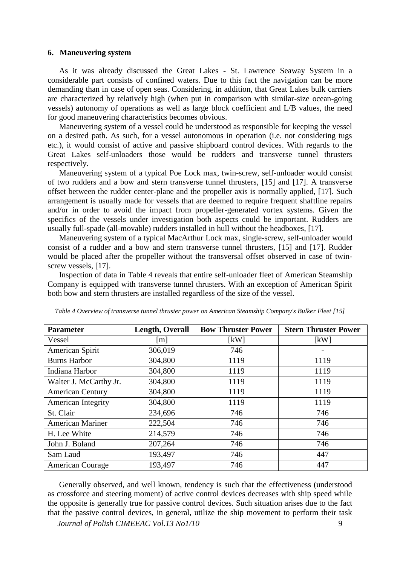#### **6. Maneuvering system**

As it was already discussed the Great Lakes - St. Lawrence Seaway System in a considerable part consists of confined waters. Due to this fact the navigation can be more demanding than in case of open seas. Considering, in addition, that Great Lakes bulk carriers are characterized by relatively high (when put in comparison with similar-size ocean-going vessels) autonomy of operations as well as large block coefficient and L/B values, the need for good maneuvering characteristics becomes obvious.

Maneuvering system of a vessel could be understood as responsible for keeping the vessel on a desired path. As such, for a vessel autonomous in operation (i.e. not considering tugs etc.), it would consist of active and passive shipboard control devices. With regards to the Great Lakes self-unloaders those would be rudders and transverse tunnel thrusters respectively.

Maneuvering system of a typical Poe Lock max, twin-screw, self-unloader would consist of two rudders and a bow and stern transverse tunnel thrusters, [15] and [17]. A transverse offset between the rudder center-plane and the propeller axis is normally applied, [17]. Such arrangement is usually made for vessels that are deemed to require frequent shaftline repairs and/or in order to avoid the impact from propeller-generated vortex systems. Given the specifics of the vessels under investigation both aspects could be important. Rudders are usually full-spade (all-movable) rudders installed in hull without the headboxes, [17].

Maneuvering system of a typical MacArthur Lock max, single-screw, self-unloader would consist of a rudder and a bow and stern transverse tunnel thrusters, [15] and [17]. Rudder would be placed after the propeller without the transversal offset observed in case of twinscrew vessels, [17].

Inspection of data in [Table 4](#page-8-0) reveals that entire self-unloader fleet of American Steamship Company is equipped with transverse tunnel thrusters. With an exception of American Spirit both bow and stern thrusters are installed regardless of the size of the vessel.

| <b>Parameter</b>        | <b>Length, Overall</b> | <b>Bow Thruster Power</b> | <b>Stern Thruster Power</b> |
|-------------------------|------------------------|---------------------------|-----------------------------|
| Vessel                  | $\lceil m \rceil$      | [kW]                      | [kW]                        |
| American Spirit         | 306,019                | 746                       |                             |
| <b>Burns Harbor</b>     | 304,800                | 1119                      | 1119                        |
| Indiana Harbor          | 304,800                | 1119                      | 1119                        |
| Walter J. McCarthy Jr.  | 304,800                | 1119                      | 1119                        |
| <b>American Century</b> | 304,800                | 1119                      | 1119                        |
| American Integrity      | 304,800                | 1119                      | 1119                        |
| St. Clair               | 234,696                | 746                       | 746                         |
| <b>American Mariner</b> | 222,504                | 746                       | 746                         |
| H. Lee White            | 214,579                | 746                       | 746                         |
| John J. Boland          | 207,264                | 746                       | 746                         |
| Sam Laud                | 193,497                | 746                       | 447                         |
| <b>American Courage</b> | 193,497                | 746                       | 447                         |

<span id="page-8-0"></span>*Table 4 Overview of transverse tunnel thruster power on American Steamship Company's Bulker Fleet [15]*

Generally observed, and well known, tendency is such that the effectiveness (understood as crossforce and steering moment) of active control devices decreases with ship speed while the opposite is generally true for passive control devices. Such situation arises due to the fact that the passive control devices, in general, utilize the ship movement to perform their task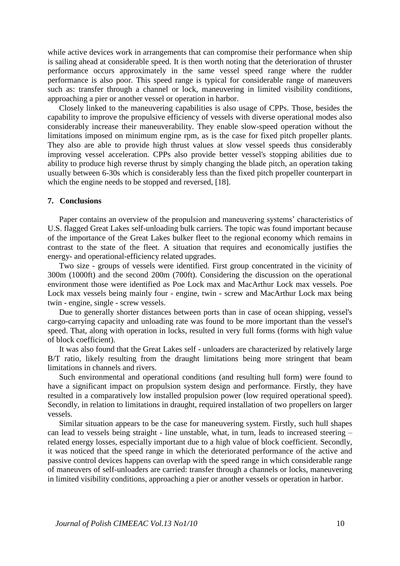while active devices work in arrangements that can compromise their performance when ship is sailing ahead at considerable speed. It is then worth noting that the deterioration of thruster performance occurs approximately in the same vessel speed range where the rudder performance is also poor. This speed range is typical for considerable range of maneuvers such as: transfer through a channel or lock, maneuvering in limited visibility conditions, approaching a pier or another vessel or operation in harbor.

Closely linked to the maneuvering capabilities is also usage of CPPs. Those, besides the capability to improve the propulsive efficiency of vessels with diverse operational modes also considerably increase their maneuverability. They enable slow-speed operation without the limitations imposed on minimum engine rpm, as is the case for fixed pitch propeller plants. They also are able to provide high thrust values at slow vessel speeds thus considerably improving vessel acceleration. CPPs also provide better vessel's stopping abilities due to ability to produce high reverse thrust by simply changing the blade pitch, an operation taking usually between 6-30s which is considerably less than the fixed pitch propeller counterpart in which the engine needs to be stopped and reversed, [18].

#### **7. Conclusions**

Paper contains an overview of the propulsion and maneuvering systems' characteristics of U.S. flagged Great Lakes self-unloading bulk carriers. The topic was found important because of the importance of the Great Lakes bulker fleet to the regional economy which remains in contrast to the state of the fleet. A situation that requires and economically justifies the energy- and operational-efficiency related upgrades.

Two size - groups of vessels were identified. First group concentrated in the vicinity of 300m (1000ft) and the second 200m (700ft). Considering the discussion on the operational environment those were identified as Poe Lock max and MacArthur Lock max vessels. Poe Lock max vessels being mainly four - engine, twin - screw and MacArthur Lock max being twin - engine, single - screw vessels.

Due to generally shorter distances between ports than in case of ocean shipping, vessel's cargo-carrying capacity and unloading rate was found to be more important than the vessel's speed. That, along with operation in locks, resulted in very full forms (forms with high value of block coefficient).

It was also found that the Great Lakes self - unloaders are characterized by relatively large B/T ratio, likely resulting from the draught limitations being more stringent that beam limitations in channels and rivers.

Such environmental and operational conditions (and resulting hull form) were found to have a significant impact on propulsion system design and performance. Firstly, they have resulted in a comparatively low installed propulsion power (low required operational speed). Secondly, in relation to limitations in draught, required installation of two propellers on larger vessels.

Similar situation appears to be the case for maneuvering system. Firstly, such hull shapes can lead to vessels being straight - line unstable, what, in turn, leads to increased steering – related energy losses, especially important due to a high value of block coefficient. Secondly, it was noticed that the speed range in which the deteriorated performance of the active and passive control devices happens can overlap with the speed range in which considerable range of maneuvers of self-unloaders are carried: transfer through a channels or locks, maneuvering in limited visibility conditions, approaching a pier or another vessels or operation in harbor.